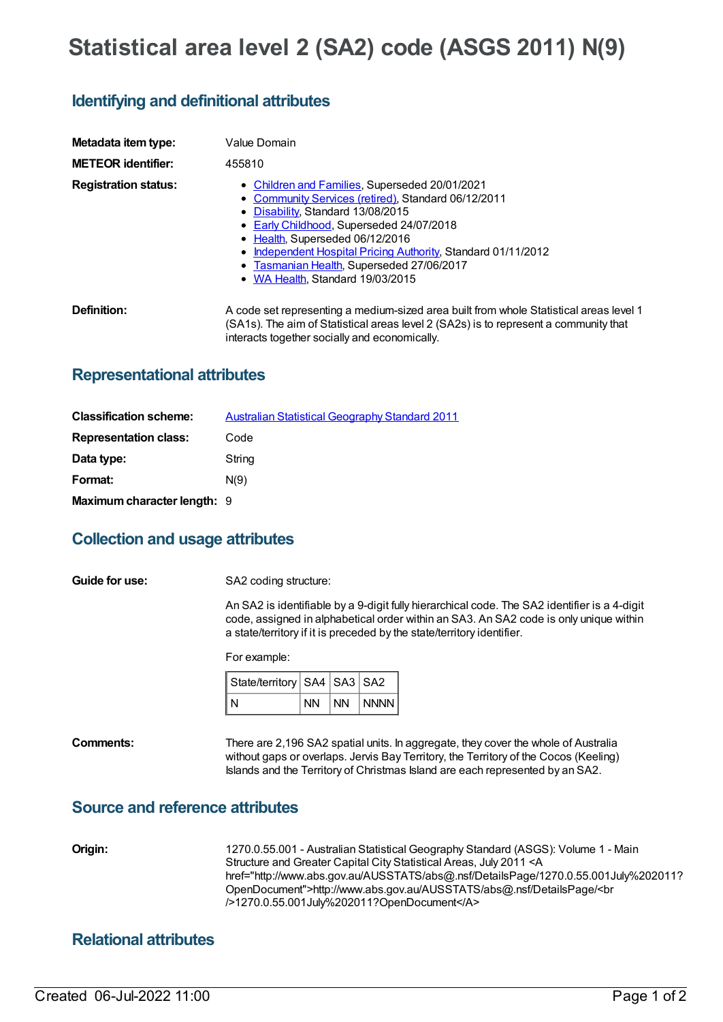# **Statistical area level 2 (SA2) code (ASGS 2011) N(9)**

# **Identifying and definitional attributes**

| Metadata item type:         | Value Domain                                                                                                                                                                                                                                                                                                                                                                |  |  |  |
|-----------------------------|-----------------------------------------------------------------------------------------------------------------------------------------------------------------------------------------------------------------------------------------------------------------------------------------------------------------------------------------------------------------------------|--|--|--|
| <b>METEOR identifier:</b>   | 455810                                                                                                                                                                                                                                                                                                                                                                      |  |  |  |
| <b>Registration status:</b> | • Children and Families, Superseded 20/01/2021<br>• Community Services (retired), Standard 06/12/2011<br>• Disability, Standard 13/08/2015<br>• Early Childhood, Superseded 24/07/2018<br>• Health, Superseded 06/12/2016<br>• Independent Hospital Pricing Authority, Standard 01/11/2012<br>• Tasmanian Health, Superseded 27/06/2017<br>• WA Health, Standard 19/03/2015 |  |  |  |
| Definition:                 | A code set representing a medium-sized area built from whole Statistical areas level 1<br>(SA1s). The aim of Statistical areas level 2 (SA2s) is to represent a community that<br>interacts together socially and economically.                                                                                                                                             |  |  |  |

#### **Representational attributes**

| <b>Classification scheme:</b> | <b>Australian Statistical Geography Standard 2011</b> |
|-------------------------------|-------------------------------------------------------|
| <b>Representation class:</b>  | Code                                                  |
| Data type:                    | String                                                |
| Format:                       | N(9)                                                  |
| Maximum character length: 9   |                                                       |

## **Collection and usage attributes**

**Guide for use:** SA2 coding structure:

An SA2 is identifiable by a 9-digit fully hierarchical code. The SA2 identifier is a 4-digit code, assigned in alphabetical order within an SA3. An SA2 code is only unique within a state/territory if it is preceded by the state/territory identifier.

For example:

| State/territory   SA4   SA3   SA2 |    |         |
|-----------------------------------|----|---------|
| N                                 | NN | NN NNNN |

**Comments:** There are 2,196 SA2 spatial units. In aggregate, they cover the whole of Australia without gaps or overlaps. Jervis Bay Territory, the Territory of the Cocos (Keeling) Islands and the Territory of Christmas Island are each represented by an SA2.

#### **Source and reference attributes**

**Origin:** 1270.0.55.001 - Australian Statistical Geography Standard (ASGS): Volume 1 - Main Structure and Greater Capital City Statistical Areas, July 2011 <A href="http://www.abs.gov.au/AUSSTATS/abs@.nsf/DetailsPage/1270.0.55.001July%202011? OpenDocument">http://www.abs.gov.au/AUSSTATS/abs@.nsf/DetailsPage/<br />1270.0.55.001July%202011?OpenDocument</A>

## **Relational attributes**